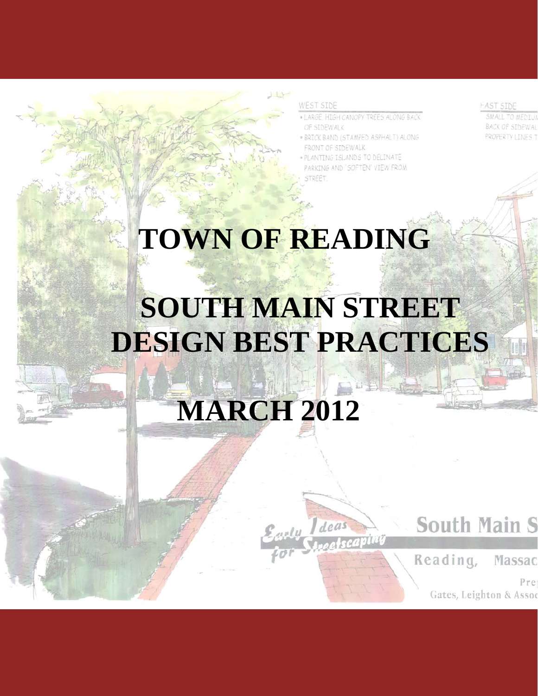#### **WEST SIDE**

- . LARGE, HIGH CANOPY TREES ALONG BACK OF SIDEWALK
- . BRICK BAND (STAMPED ASPHALT) ALONG FRONT OF SIDEWALK
- PLANTING ISLANDS TO DELINATE PARKING AND 'SOFTEN' VIEW FROM STREET.

**HAST STDE** 

**BACK OF SIDEWAL** PROPERTY LINES 1

# **TOWN OF READING**

## **SOUTH MAIN STREET DESIGN BEST PRACTICES**

Early Ideas

## **MARCH 2012**

## **South Main S**

Reading, Massac

> Pre Gates, Leighton & Assoc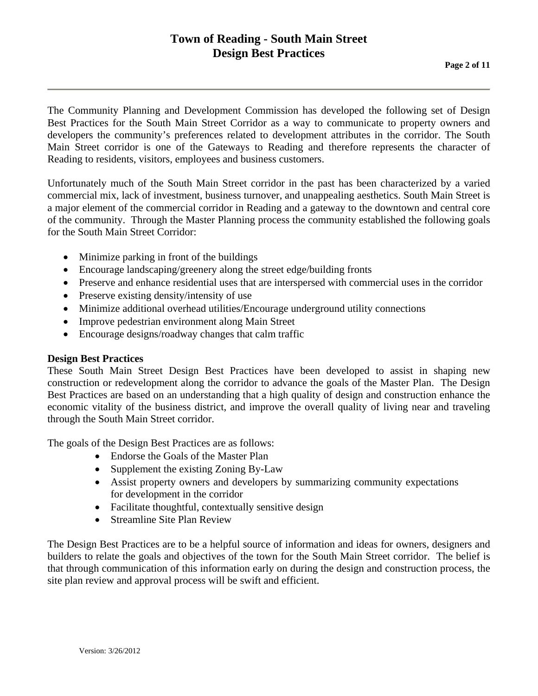## **Town of Reading - South Main Street Design Best Practices**<br>Page 2 of 11

The Community Planning and Development Commission has developed the following set of Design Best Practices for the South Main Street Corridor as a way to communicate to property owners and developers the community's preferences related to development attributes in the corridor. The South Main Street corridor is one of the Gateways to Reading and therefore represents the character of Reading to residents, visitors, employees and business customers.

Unfortunately much of the South Main Street corridor in the past has been characterized by a varied commercial mix, lack of investment, business turnover, and unappealing aesthetics. South Main Street is a major element of the commercial corridor in Reading and a gateway to the downtown and central core of the community. Through the Master Planning process the community established the following goals for the South Main Street Corridor:

- Minimize parking in front of the buildings
- Encourage landscaping/greenery along the street edge/building fronts
- Preserve and enhance residential uses that are interspersed with commercial uses in the corridor
- Preserve existing density/intensity of use
- Minimize additional overhead utilities/Encourage underground utility connections
- Improve pedestrian environment along Main Street
- Encourage designs/roadway changes that calm traffic

#### **Design Best Practices**

These South Main Street Design Best Practices have been developed to assist in shaping new construction or redevelopment along the corridor to advance the goals of the Master Plan. The Design Best Practices are based on an understanding that a high quality of design and construction enhance the economic vitality of the business district, and improve the overall quality of living near and traveling through the South Main Street corridor.

The goals of the Design Best Practices are as follows:

- Endorse the Goals of the Master Plan
- Supplement the existing Zoning By-Law
- Assist property owners and developers by summarizing community expectations for development in the corridor
- Facilitate thoughtful, contextually sensitive design
- Streamline Site Plan Review

The Design Best Practices are to be a helpful source of information and ideas for owners, designers and builders to relate the goals and objectives of the town for the South Main Street corridor. The belief is that through communication of this information early on during the design and construction process, the site plan review and approval process will be swift and efficient.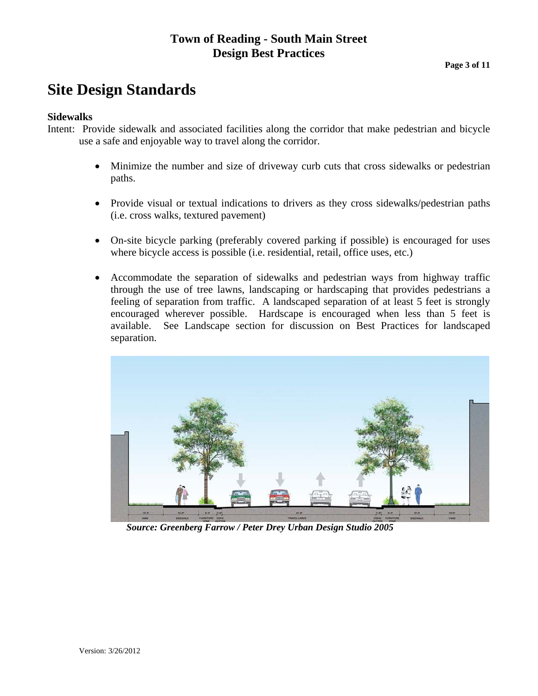## **Town of Reading - South Main Street Design Best Practices**<br>Page 3 of 11

### **Site Design Standards**

#### **Sidewalks**

Intent: Provide sidewalk and associated facilities along the corridor that make pedestrian and bicycle use a safe and enjoyable way to travel along the corridor.

- Minimize the number and size of driveway curb cuts that cross sidewalks or pedestrian paths.
- Provide visual or textual indications to drivers as they cross sidewalks/pedestrian paths (i.e. cross walks, textured pavement)
- On-site bicycle parking (preferably covered parking if possible) is encouraged for uses where bicycle access is possible (i.e. residential, retail, office uses, etc.)
- Accommodate the separation of sidewalks and pedestrian ways from highway traffic through the use of tree lawns, landscaping or hardscaping that provides pedestrians a feeling of separation from traffic. A landscaped separation of at least 5 feet is strongly encouraged wherever possible. Hardscape is encouraged when less than 5 feet is available. See Landscape section for discussion on Best Practices for landscaped separation.



*Source: Greenberg Farrow / Peter Drey Urban Design Studio 2005*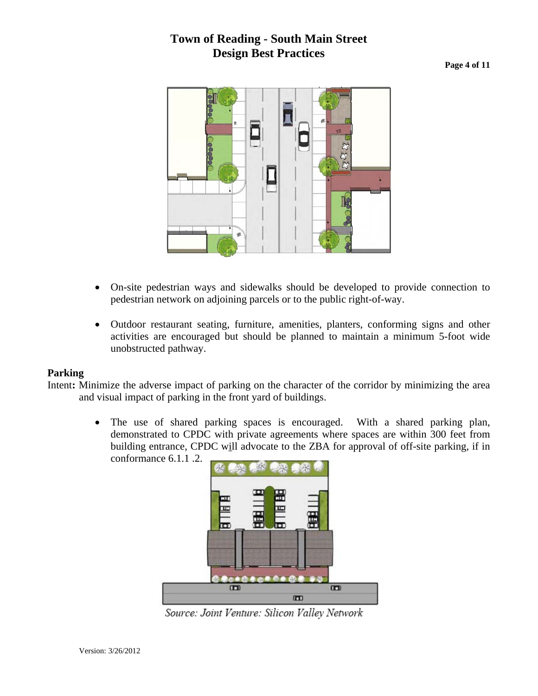## **Town of Reading - South Main Street Design Best Practices**<br>Page 4 of 11



- On-site pedestrian ways and sidewalks should be developed to provide connection to pedestrian network on adjoining parcels or to the public right-of-way.
- Outdoor restaurant seating, furniture, amenities, planters, conforming signs and other activities are encouraged but should be planned to maintain a minimum 5-foot wide unobstructed pathway.

#### **Parking**

Intent**:** Minimize the adverse impact of parking on the character of the corridor by minimizing the area and visual impact of parking in the front yard of buildings.

> • The use of shared parking spaces is encouraged. With a shared parking plan, demonstrated to CPDC with private agreements where spaces are within 300 feet from building entrance, CPDC will advocate to the ZBA for approval of off-site parking, if in conformance 6.1.1 .2.



Source: Joint Venture: Silicon Valley Network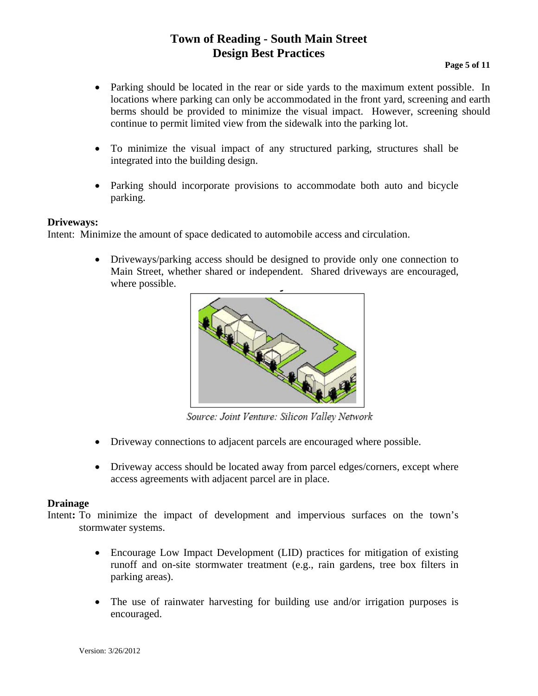## **Town of Reading - South Main Street Design Best Practices**<br>Page 5 of 11

- Parking should be located in the rear or side yards to the maximum extent possible. In locations where parking can only be accommodated in the front yard, screening and earth berms should be provided to minimize the visual impact. However, screening should continue to permit limited view from the sidewalk into the parking lot.
- To minimize the visual impact of any structured parking, structures shall be integrated into the building design.
- Parking should incorporate provisions to accommodate both auto and bicycle parking.

#### **Driveways:**

Intent: Minimize the amount of space dedicated to automobile access and circulation.

• Driveways/parking access should be designed to provide only one connection to Main Street, whether shared or independent. Shared driveways are encouraged, where possible.



Source: Joint Venture: Silicon Valley Network

- Driveway connections to adjacent parcels are encouraged where possible.
- Driveway access should be located away from parcel edges/corners, except where access agreements with adjacent parcel are in place.

#### **Drainage**

Intent: To minimize the impact of development and impervious surfaces on the town's stormwater systems.

- runoff and on-site stormwater treatment (e.g., rain gardens, tree box filters in parking areas). • Encourage Low Impact Development (LID) practices for mitigation of existing
- The use of rainwater harvesting for building use and/or irrigation purposes is encouraged.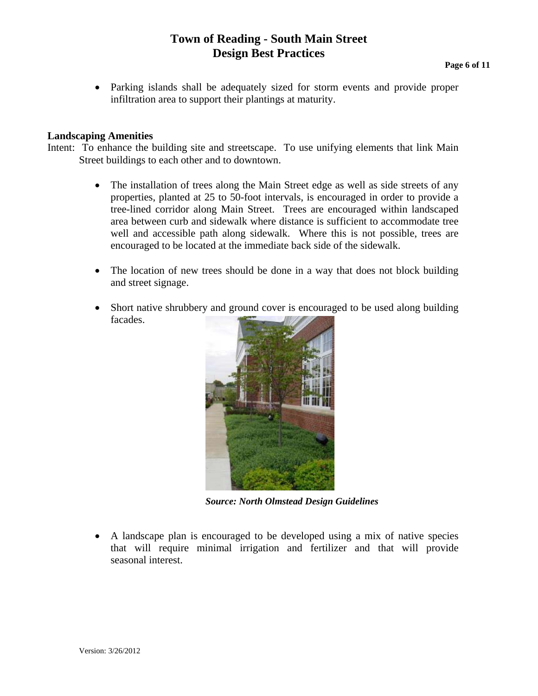## **Town of Reading - South Main Street Design Best Practices**<br>Page 6 of 11

• Parking islands shall be adequately sized for storm events and provide proper infiltration area to support their plantings at maturity.

#### **Landscaping Amenities**

- Intent: To enhance the building site and streetscape. To use unifying elements that link Main Street buildings to each other and to downtown.
	- The installation of trees along the Main Street edge as well as side streets of any properties, planted at 25 to 50-foot intervals, is encouraged in order to provide a tree-lined corridor along Main Street. Trees are encouraged within landscaped area between curb and sidewalk where distance is sufficient to accommodate tree well and accessible path along sidewalk. Where this is not possible, trees are encouraged to be located at the immediate back side of the sidewalk.
	- The location of new trees should be done in a way that does not block building and street signage.
	- Short native shrubbery and ground cover is encouraged to be used along building facades.



*Source: North Olmstead Design Guidelines* 

• A landscape plan is encouraged to be developed using a mix of native species that will require minimal irrigation and fertilizer and that will provide seasonal interest.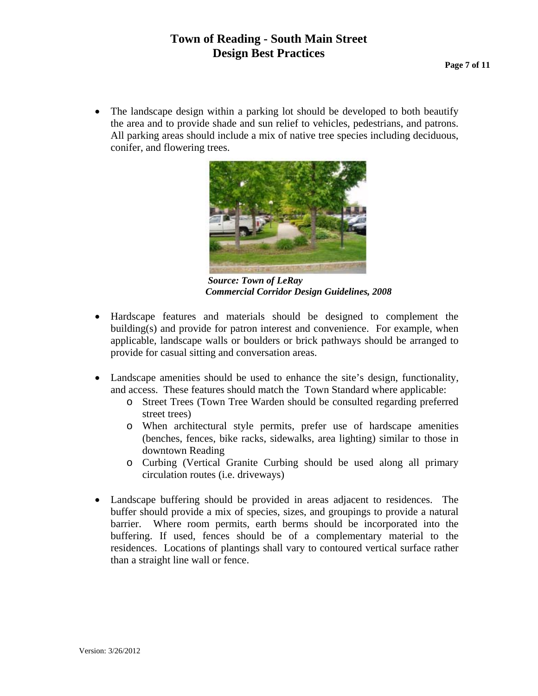## **Town of Reading - South Main Street Design Best Practices** Page 7 of 11

• The landscape design within a parking lot should be developed to both beautify the area and to provide shade and sun relief to vehicles, pedestrians, and patrons. All parking areas should include a mix of native tree species including deciduous, conifer, and flowering trees.



 *Source: Town of LeRay Commercial Corridor Design Guidelines, 2008* 

- Hardscape features and materials should be designed to complement the building(s) and provide for patron interest and convenience. For example, when applicable, landscape walls or boulders or brick pathways should be arranged to provide for casual sitting and conversation areas.
- Landscape amenities should be used to enhance the site's design, functionality, and access. These features should match the Town Standard where applicable:
	- o Street Trees (Town Tree Warden should be consulted regarding preferred street trees)
	- o When architectural style permits, prefer use of hardscape amenities (benches, fences, bike racks, sidewalks, area lighting) similar to those in downtown Reading
	- o Curbing (Vertical Granite Curbing should be used along all primary circulation routes (i.e. driveways)
- Landscape buffering should be provided in areas adjacent to residences. The buffer should provide a mix of species, sizes, and groupings to provide a natural barrier. Where room permits, earth berms should be incorporated into the buffering. If used, fences should be of a complementary material to the residences. Locations of plantings shall vary to contoured vertical surface rather than a straight line wall or fence.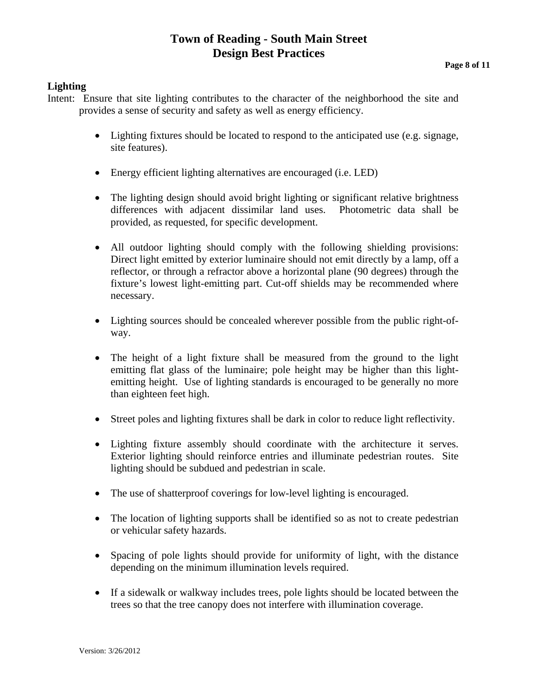## **Town of Reading - South Main Street Design Best Practices**<br>Page 8 of 11

#### **Lighting**

- Intent: Ensure that site lighting contributes to the character of the neighborhood the site and provides a sense of security and safety as well as energy efficiency.
	- Lighting fixtures should be located to respond to the anticipated use (e.g. signage, site features).
	- Energy efficient lighting alternatives are encouraged (i.e. LED)
	- The lighting design should avoid bright lighting or significant relative brightness differences with adjacent dissimilar land uses. Photometric data shall be provided, as requested, for specific development.
	- All outdoor lighting should comply with the following shielding provisions: Direct light emitted by exterior luminaire should not emit directly by a lamp, off a reflector, or through a refractor above a horizontal plane (90 degrees) through the fixture's lowest light-emitting part. Cut-off shields may be recommended where necessary.
	- Lighting sources should be concealed wherever possible from the public right-ofway.
	- The height of a light fixture shall be measured from the ground to the light emitting flat glass of the luminaire; pole height may be higher than this lightemitting height. Use of lighting standards is encouraged to be generally no more than eighteen feet high.
	- Street poles and lighting fixtures shall be dark in color to reduce light reflectivity.
	- Lighting fixture assembly should coordinate with the architecture it serves. Exterior lighting should reinforce entries and illuminate pedestrian routes. Site lighting should be subdued and pedestrian in scale.
	- The use of shatterproof coverings for low-level lighting is encouraged.
	- The location of lighting supports shall be identified so as not to create pedestrian or vehicular safety hazards.
	- Spacing of pole lights should provide for uniformity of light, with the distance depending on the minimum illumination levels required.
	- If a sidewalk or walkway includes trees, pole lights should be located between the trees so that the tree canopy does not interfere with illumination coverage.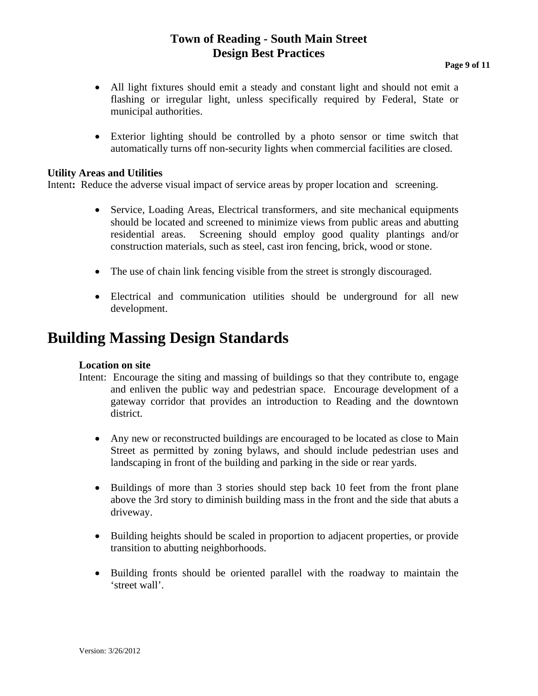## **Town of Reading - South Main Street Design Best Practices**<br>Page 9 of 11

- All light fixtures should emit a steady and constant light and should not emit a flashing or irregular light, unless specifically required by Federal, State or municipal authorities.
- Exterior lighting should be controlled by a photo sensor or time switch that automatically turns off non-security lights when commercial facilities are closed.

#### **Utility Areas and Utilities**

Intent: Reduce the adverse visual impact of service areas by proper location and screening.

- Service, Loading Areas, Electrical transformers, and site mechanical equipments should be located and screened to minimize views from public areas and abutting residential areas. Screening should employ good quality plantings and/or construction materials, such as steel, cast iron fencing, brick, wood or stone.
- The use of chain link fencing visible from the street is strongly discouraged.
- Electrical and communication utilities should be underground for all new development.

### **Building Massing Design Standards**

#### **Location on site**

- Intent: Encourage the siting and massing of buildings so that they contribute to, engage and enliven the public way and pedestrian space. Encourage development of a gateway corridor that provides an introduction to Reading and the downtown district.
	- Any new or reconstructed buildings are encouraged to be located as close to Main Street as permitted by zoning bylaws, and should include pedestrian uses and landscaping in front of the building and parking in the side or rear yards.
	- Buildings of more than 3 stories should step back 10 feet from the front plane above the 3rd story to diminish building mass in the front and the side that abuts a driveway.
	- Building heights should be scaled in proportion to adjacent properties, or provide transition to abutting neighborhoods.
	- Building fronts should be oriented parallel with the roadway to maintain the 'street wall'.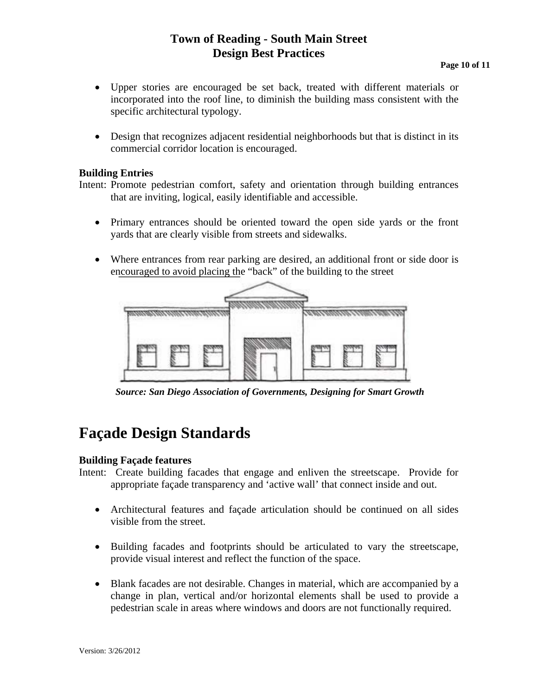## **Town of Reading - South Main Street Design Best Practices**<br>Page 10 of 11

- Upper stories are encouraged be set back, treated with different materials or incorporated into the roof line, to diminish the building mass consistent with the specific architectural typology.
- Design that recognizes adjacent residential neighborhoods but that is distinct in its commercial corridor location is encouraged.

#### **Building Entries**

Intent: Promote pedestrian comfort, safety and orientation through building entrances that are inviting, logical, easily identifiable and accessible.

- Primary entrances should be oriented toward the open side yards or the front yards that are clearly visible from streets and sidewalks.
- Where entrances from rear parking are desired, an additional front or side door is encouraged to avoid placing the "back" of the building to the street



 *Source: San Diego Association of Governments, Designing for Smart Growth* 

## **Façade Design Standards**

#### **Building Façade features**

- Intent: Create building facades that engage and enliven the streetscape. Provide for appropriate façade transparency and 'active wall' that connect inside and out.
	- Architectural features and façade articulation should be continued on all sides visible from the street.
	- Building facades and footprints should be articulated to vary the streetscape, provide visual interest and reflect the function of the space.
	- Blank facades are not desirable. Changes in material, which are accompanied by a change in plan, vertical and/or horizontal elements shall be used to provide a pedestrian scale in areas where windows and doors are not functionally required.